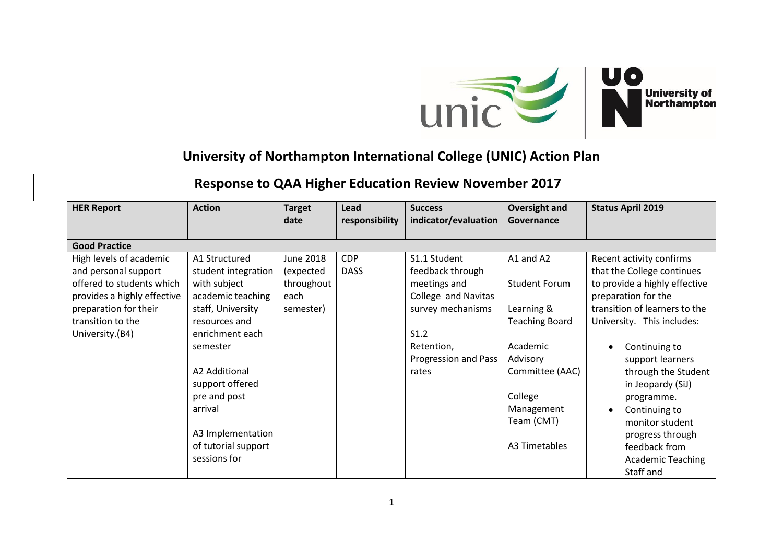

## **University of Northampton International College (UNIC) Action Plan**

## **Response to QAA Higher Education Review November 2017**

| <b>HER Report</b>                                                                                                                                                            | <b>Action</b>                                                                                                                                                                                                                                                             | <b>Target</b>                                                    | Lead                      | <b>Success</b>                                                                                                                                      | <b>Oversight and</b>                                                                                                                                                        | <b>Status April 2019</b>                                                                                                                                                                                                                                                                                                                                                                       |  |  |  |
|------------------------------------------------------------------------------------------------------------------------------------------------------------------------------|---------------------------------------------------------------------------------------------------------------------------------------------------------------------------------------------------------------------------------------------------------------------------|------------------------------------------------------------------|---------------------------|-----------------------------------------------------------------------------------------------------------------------------------------------------|-----------------------------------------------------------------------------------------------------------------------------------------------------------------------------|------------------------------------------------------------------------------------------------------------------------------------------------------------------------------------------------------------------------------------------------------------------------------------------------------------------------------------------------------------------------------------------------|--|--|--|
|                                                                                                                                                                              |                                                                                                                                                                                                                                                                           | date                                                             | responsibility            | indicator/evaluation                                                                                                                                | Governance                                                                                                                                                                  |                                                                                                                                                                                                                                                                                                                                                                                                |  |  |  |
| <b>Good Practice</b>                                                                                                                                                         |                                                                                                                                                                                                                                                                           |                                                                  |                           |                                                                                                                                                     |                                                                                                                                                                             |                                                                                                                                                                                                                                                                                                                                                                                                |  |  |  |
| High levels of academic<br>and personal support<br>offered to students which<br>provides a highly effective<br>preparation for their<br>transition to the<br>University.(B4) | A1 Structured<br>student integration<br>with subject<br>academic teaching<br>staff, University<br>resources and<br>enrichment each<br>semester<br>A2 Additional<br>support offered<br>pre and post<br>arrival<br>A3 Implementation<br>of tutorial support<br>sessions for | <b>June 2018</b><br>(expected<br>throughout<br>each<br>semester) | <b>CDP</b><br><b>DASS</b> | S1.1 Student<br>feedback through<br>meetings and<br>College and Navitas<br>survey mechanisms<br>S1.2<br>Retention,<br>Progression and Pass<br>rates | A1 and A2<br><b>Student Forum</b><br>Learning &<br><b>Teaching Board</b><br>Academic<br>Advisory<br>Committee (AAC)<br>College<br>Management<br>Team (CMT)<br>A3 Timetables | Recent activity confirms<br>that the College continues<br>to provide a highly effective<br>preparation for the<br>transition of learners to the<br>University. This includes:<br>Continuing to<br>support learners<br>through the Student<br>in Jeopardy (SiJ)<br>programme.<br>Continuing to<br>monitor student<br>progress through<br>feedback from<br><b>Academic Teaching</b><br>Staff and |  |  |  |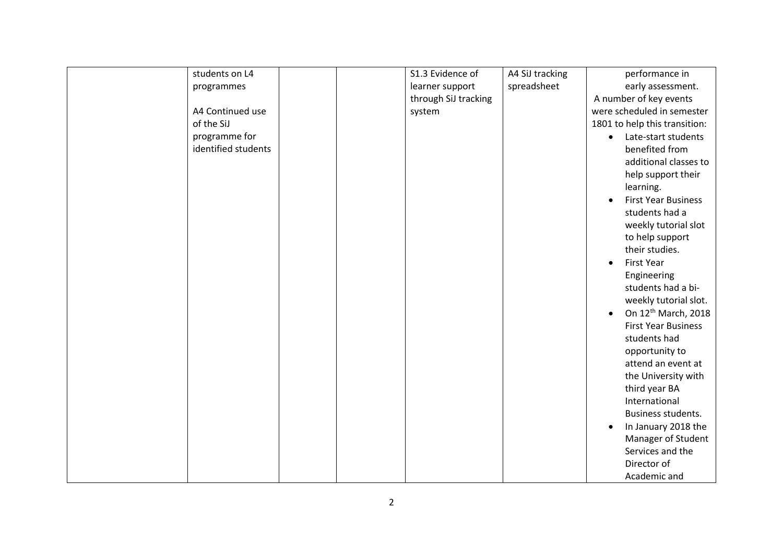| students on L4      | S1.3 Evidence of     | A4 SiJ tracking | performance in                               |
|---------------------|----------------------|-----------------|----------------------------------------------|
| programmes          | learner support      | spreadsheet     | early assessment.                            |
|                     | through SiJ tracking |                 | A number of key events                       |
| A4 Continued use    | system               |                 | were scheduled in semester                   |
| of the SiJ          |                      |                 | 1801 to help this transition:                |
| programme for       |                      |                 | Late-start students<br>$\bullet$             |
| identified students |                      |                 | benefited from                               |
|                     |                      |                 | additional classes to                        |
|                     |                      |                 | help support their                           |
|                     |                      |                 | learning.                                    |
|                     |                      |                 | <b>First Year Business</b><br>$\bullet$      |
|                     |                      |                 | students had a                               |
|                     |                      |                 | weekly tutorial slot                         |
|                     |                      |                 | to help support                              |
|                     |                      |                 | their studies.                               |
|                     |                      |                 | <b>First Year</b><br>$\bullet$               |
|                     |                      |                 | Engineering                                  |
|                     |                      |                 | students had a bi-                           |
|                     |                      |                 | weekly tutorial slot.                        |
|                     |                      |                 | On 12 <sup>th</sup> March, 2018<br>$\bullet$ |
|                     |                      |                 | <b>First Year Business</b>                   |
|                     |                      |                 | students had                                 |
|                     |                      |                 | opportunity to                               |
|                     |                      |                 | attend an event at                           |
|                     |                      |                 | the University with                          |
|                     |                      |                 | third year BA                                |
|                     |                      |                 | International                                |
|                     |                      |                 | Business students.                           |
|                     |                      |                 | In January 2018 the<br>$\bullet$             |
|                     |                      |                 | Manager of Student                           |
|                     |                      |                 | Services and the                             |
|                     |                      |                 | Director of                                  |
|                     |                      |                 | Academic and                                 |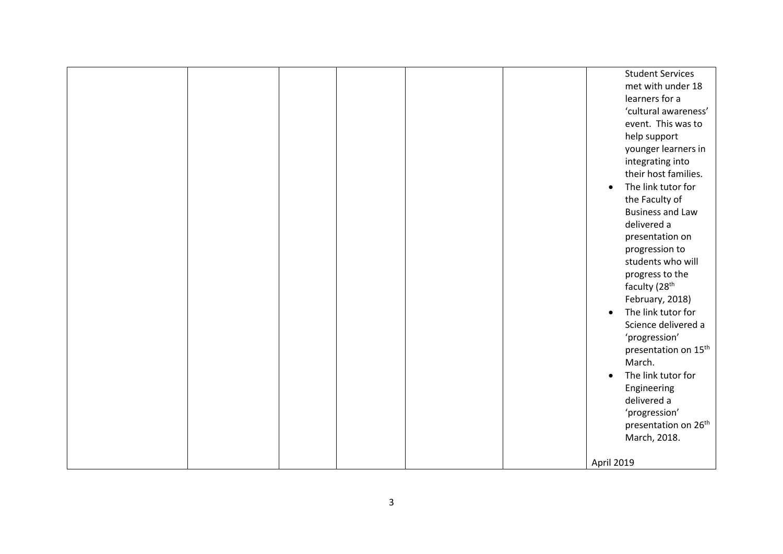|  |  |  | <b>Student Services</b><br>met with under 18<br>learners for a<br>'cultural awareness'<br>event. This was to<br>help support<br>younger learners in<br>integrating into<br>their host families.<br>The link tutor for<br>$\bullet$<br>the Faculty of<br><b>Business and Law</b><br>delivered a<br>presentation on<br>progression to<br>students who will<br>progress to the<br>faculty (28 <sup>th</sup><br>February, 2018)<br>The link tutor for<br>$\bullet$<br>Science delivered a<br>'progression'<br>presentation on 15 <sup>th</sup><br>March.<br>The link tutor for<br>$\bullet$<br>Engineering<br>delivered a<br>'progression'<br>presentation on 26 <sup>th</sup><br>March, 2018. |
|--|--|--|--------------------------------------------------------------------------------------------------------------------------------------------------------------------------------------------------------------------------------------------------------------------------------------------------------------------------------------------------------------------------------------------------------------------------------------------------------------------------------------------------------------------------------------------------------------------------------------------------------------------------------------------------------------------------------------------|
|  |  |  | April 2019                                                                                                                                                                                                                                                                                                                                                                                                                                                                                                                                                                                                                                                                                 |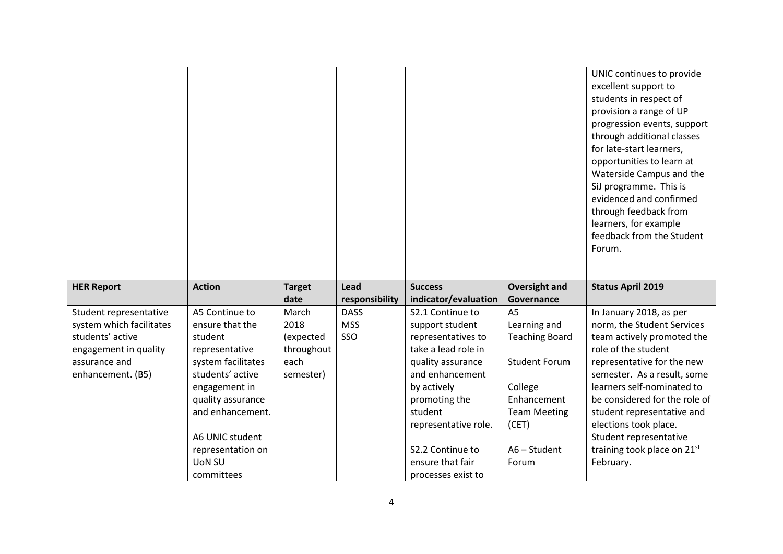|                                                    |                    |               |                               |                                          |                              | UNIC continues to provide<br>excellent support to<br>students in respect of<br>provision a range of UP<br>progression events, support<br>through additional classes<br>for late-start learners,<br>opportunities to learn at<br>Waterside Campus and the<br>SiJ programme. This is<br>evidenced and confirmed<br>through feedback from<br>learners, for example<br>feedback from the Student<br>Forum. |
|----------------------------------------------------|--------------------|---------------|-------------------------------|------------------------------------------|------------------------------|--------------------------------------------------------------------------------------------------------------------------------------------------------------------------------------------------------------------------------------------------------------------------------------------------------------------------------------------------------------------------------------------------------|
| <b>HER Report</b>                                  | <b>Action</b>      | <b>Target</b> | Lead                          | <b>Success</b>                           | <b>Oversight and</b>         | <b>Status April 2019</b>                                                                                                                                                                                                                                                                                                                                                                               |
|                                                    | A5 Continue to     | date          | responsibility<br><b>DASS</b> | indicator/evaluation<br>S2.1 Continue to | Governance<br>A <sub>5</sub> |                                                                                                                                                                                                                                                                                                                                                                                                        |
| Student representative<br>system which facilitates | ensure that the    | March<br>2018 | <b>MSS</b>                    | support student                          | Learning and                 | In January 2018, as per<br>norm, the Student Services                                                                                                                                                                                                                                                                                                                                                  |
| students' active                                   | student            | (expected     | SSO                           | representatives to                       | <b>Teaching Board</b>        | team actively promoted the                                                                                                                                                                                                                                                                                                                                                                             |
| engagement in quality                              | representative     | throughout    |                               | take a lead role in                      |                              | role of the student                                                                                                                                                                                                                                                                                                                                                                                    |
| assurance and                                      | system facilitates | each          |                               | quality assurance                        | <b>Student Forum</b>         | representative for the new                                                                                                                                                                                                                                                                                                                                                                             |
| enhancement. (B5)                                  | students' active   | semester)     |                               | and enhancement                          |                              | semester. As a result, some                                                                                                                                                                                                                                                                                                                                                                            |
|                                                    | engagement in      |               |                               | by actively                              | College                      | learners self-nominated to                                                                                                                                                                                                                                                                                                                                                                             |
|                                                    | quality assurance  |               |                               | promoting the                            | Enhancement                  | be considered for the role of                                                                                                                                                                                                                                                                                                                                                                          |
|                                                    | and enhancement.   |               |                               | student                                  | <b>Team Meeting</b>          | student representative and                                                                                                                                                                                                                                                                                                                                                                             |
|                                                    |                    |               |                               | representative role.                     | (CET)                        | elections took place.                                                                                                                                                                                                                                                                                                                                                                                  |
|                                                    | A6 UNIC student    |               |                               |                                          |                              | Student representative                                                                                                                                                                                                                                                                                                                                                                                 |
|                                                    | representation on  |               |                               | S2.2 Continue to                         | A6 - Student                 | training took place on 21st                                                                                                                                                                                                                                                                                                                                                                            |
|                                                    | <b>UON SU</b>      |               |                               | ensure that fair                         | Forum                        | February.                                                                                                                                                                                                                                                                                                                                                                                              |
|                                                    | committees         |               |                               | processes exist to                       |                              |                                                                                                                                                                                                                                                                                                                                                                                                        |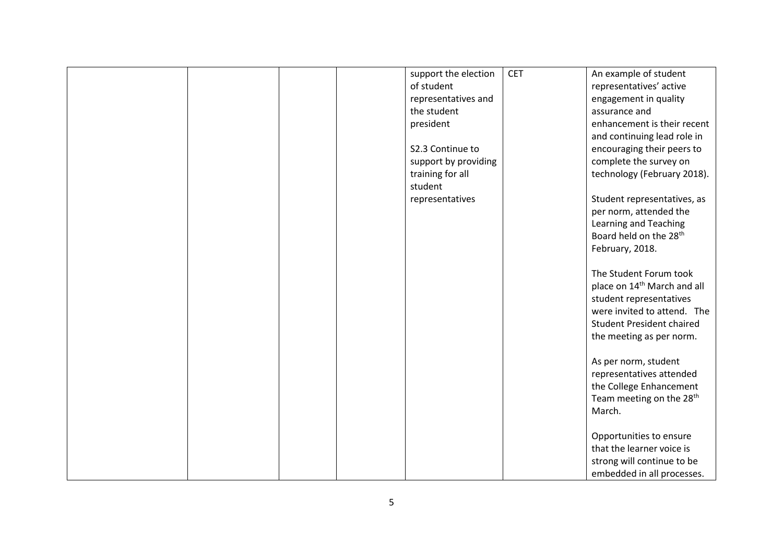|  |  | support the election | <b>CET</b> | An example of student                   |
|--|--|----------------------|------------|-----------------------------------------|
|  |  | of student           |            | representatives' active                 |
|  |  | representatives and  |            | engagement in quality                   |
|  |  | the student          |            | assurance and                           |
|  |  | president            |            | enhancement is their recent             |
|  |  |                      |            | and continuing lead role in             |
|  |  | S2.3 Continue to     |            | encouraging their peers to              |
|  |  | support by providing |            | complete the survey on                  |
|  |  | training for all     |            | technology (February 2018).             |
|  |  | student              |            |                                         |
|  |  | representatives      |            | Student representatives, as             |
|  |  |                      |            | per norm, attended the                  |
|  |  |                      |            | Learning and Teaching                   |
|  |  |                      |            | Board held on the 28 <sup>th</sup>      |
|  |  |                      |            | February, 2018.                         |
|  |  |                      |            |                                         |
|  |  |                      |            | The Student Forum took                  |
|  |  |                      |            | place on 14 <sup>th</sup> March and all |
|  |  |                      |            | student representatives                 |
|  |  |                      |            | were invited to attend. The             |
|  |  |                      |            | <b>Student President chaired</b>        |
|  |  |                      |            | the meeting as per norm.                |
|  |  |                      |            |                                         |
|  |  |                      |            | As per norm, student                    |
|  |  |                      |            | representatives attended                |
|  |  |                      |            | the College Enhancement                 |
|  |  |                      |            | Team meeting on the 28 <sup>th</sup>    |
|  |  |                      |            | March.                                  |
|  |  |                      |            |                                         |
|  |  |                      |            | Opportunities to ensure                 |
|  |  |                      |            | that the learner voice is               |
|  |  |                      |            | strong will continue to be              |
|  |  |                      |            | embedded in all processes.              |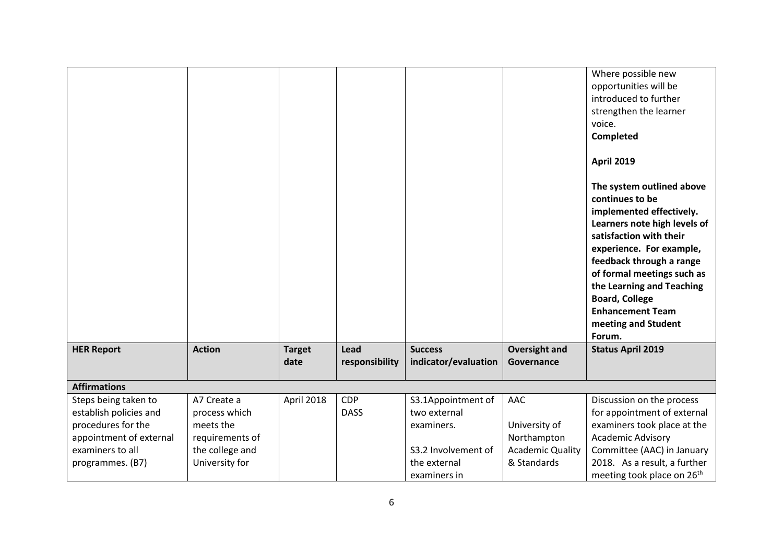|                         |                 |                       |                        |                                        |                                    | Where possible new<br>opportunities will be<br>introduced to further<br>strengthen the learner<br>voice.<br>Completed<br><b>April 2019</b><br>The system outlined above<br>continues to be<br>implemented effectively.<br>Learners note high levels of<br>satisfaction with their<br>experience. For example,<br>feedback through a range<br>of formal meetings such as<br>the Learning and Teaching<br><b>Board, College</b><br><b>Enhancement Team</b><br>meeting and Student<br>Forum. |
|-------------------------|-----------------|-----------------------|------------------------|----------------------------------------|------------------------------------|-------------------------------------------------------------------------------------------------------------------------------------------------------------------------------------------------------------------------------------------------------------------------------------------------------------------------------------------------------------------------------------------------------------------------------------------------------------------------------------------|
| <b>HER Report</b>       | <b>Action</b>   | <b>Target</b><br>date | Lead<br>responsibility | <b>Success</b><br>indicator/evaluation | <b>Oversight and</b><br>Governance | <b>Status April 2019</b>                                                                                                                                                                                                                                                                                                                                                                                                                                                                  |
| <b>Affirmations</b>     |                 |                       |                        |                                        |                                    |                                                                                                                                                                                                                                                                                                                                                                                                                                                                                           |
| Steps being taken to    | A7 Create a     | April 2018            | <b>CDP</b>             | S3.1Appointment of                     | AAC                                | Discussion on the process                                                                                                                                                                                                                                                                                                                                                                                                                                                                 |
| establish policies and  | process which   |                       | <b>DASS</b>            | two external                           |                                    | for appointment of external                                                                                                                                                                                                                                                                                                                                                                                                                                                               |
| procedures for the      | meets the       |                       |                        | examiners.                             | University of                      | examiners took place at the                                                                                                                                                                                                                                                                                                                                                                                                                                                               |
| appointment of external | requirements of |                       |                        |                                        | Northampton                        | Academic Advisory                                                                                                                                                                                                                                                                                                                                                                                                                                                                         |
| examiners to all        | the college and |                       |                        | S3.2 Involvement of                    | <b>Academic Quality</b>            | Committee (AAC) in January                                                                                                                                                                                                                                                                                                                                                                                                                                                                |
| programmes. (B7)        | University for  |                       |                        | the external                           | & Standards                        | 2018. As a result, a further                                                                                                                                                                                                                                                                                                                                                                                                                                                              |
|                         |                 |                       |                        | examiners in                           |                                    | meeting took place on 26 <sup>th</sup>                                                                                                                                                                                                                                                                                                                                                                                                                                                    |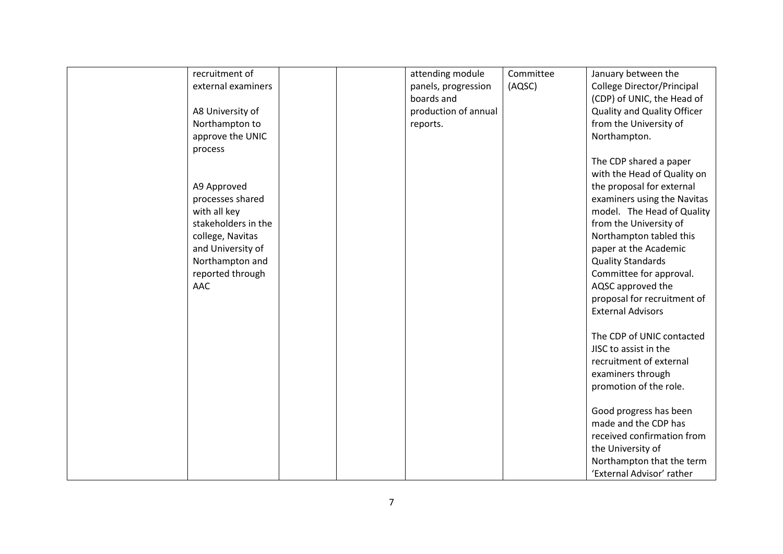| recruitment of      |  | attending module     | Committee | January between the                |
|---------------------|--|----------------------|-----------|------------------------------------|
| external examiners  |  | panels, progression  | (AQSC)    | College Director/Principal         |
|                     |  | boards and           |           | (CDP) of UNIC, the Head of         |
| A8 University of    |  | production of annual |           | <b>Quality and Quality Officer</b> |
| Northampton to      |  | reports.             |           | from the University of             |
| approve the UNIC    |  |                      |           | Northampton.                       |
| process             |  |                      |           |                                    |
|                     |  |                      |           | The CDP shared a paper             |
|                     |  |                      |           | with the Head of Quality on        |
| A9 Approved         |  |                      |           | the proposal for external          |
| processes shared    |  |                      |           | examiners using the Navitas        |
| with all key        |  |                      |           | model. The Head of Quality         |
| stakeholders in the |  |                      |           | from the University of             |
| college, Navitas    |  |                      |           | Northampton tabled this            |
| and University of   |  |                      |           | paper at the Academic              |
| Northampton and     |  |                      |           | <b>Quality Standards</b>           |
| reported through    |  |                      |           | Committee for approval.            |
| <b>AAC</b>          |  |                      |           | AQSC approved the                  |
|                     |  |                      |           | proposal for recruitment of        |
|                     |  |                      |           | <b>External Advisors</b>           |
|                     |  |                      |           |                                    |
|                     |  |                      |           | The CDP of UNIC contacted          |
|                     |  |                      |           | JISC to assist in the              |
|                     |  |                      |           | recruitment of external            |
|                     |  |                      |           | examiners through                  |
|                     |  |                      |           | promotion of the role.             |
|                     |  |                      |           |                                    |
|                     |  |                      |           | Good progress has been             |
|                     |  |                      |           | made and the CDP has               |
|                     |  |                      |           | received confirmation from         |
|                     |  |                      |           | the University of                  |
|                     |  |                      |           | Northampton that the term          |
|                     |  |                      |           | 'External Advisor' rather          |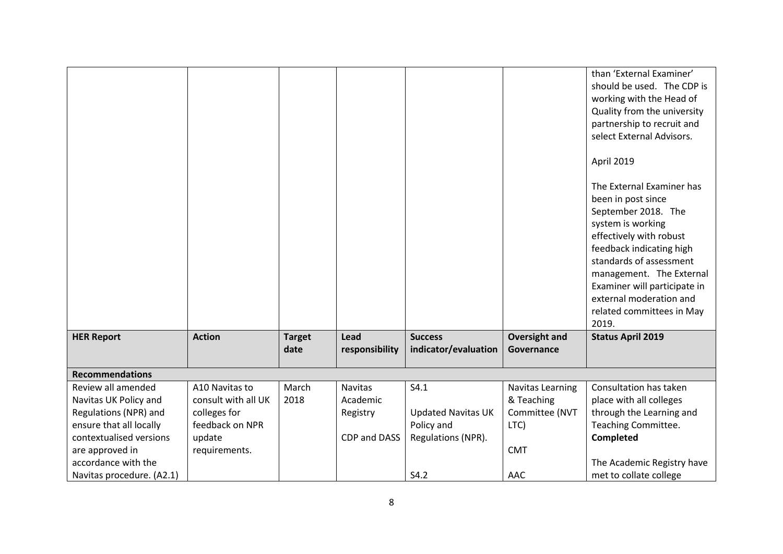|                           |                     |                       |                        |                                        |                                    | than 'External Examiner'<br>should be used. The CDP is<br>working with the Head of<br>Quality from the university<br>partnership to recruit and<br>select External Advisors.<br>April 2019<br>The External Examiner has<br>been in post since<br>September 2018. The<br>system is working<br>effectively with robust<br>feedback indicating high<br>standards of assessment<br>management. The External<br>Examiner will participate in<br>external moderation and<br>related committees in May<br>2019. |
|---------------------------|---------------------|-----------------------|------------------------|----------------------------------------|------------------------------------|----------------------------------------------------------------------------------------------------------------------------------------------------------------------------------------------------------------------------------------------------------------------------------------------------------------------------------------------------------------------------------------------------------------------------------------------------------------------------------------------------------|
| <b>HER Report</b>         | <b>Action</b>       | <b>Target</b><br>date | Lead<br>responsibility | <b>Success</b><br>indicator/evaluation | <b>Oversight and</b><br>Governance | <b>Status April 2019</b>                                                                                                                                                                                                                                                                                                                                                                                                                                                                                 |
| <b>Recommendations</b>    |                     |                       |                        |                                        |                                    |                                                                                                                                                                                                                                                                                                                                                                                                                                                                                                          |
| Review all amended        | A10 Navitas to      | March                 | <b>Navitas</b>         | S4.1                                   | <b>Navitas Learning</b>            | Consultation has taken                                                                                                                                                                                                                                                                                                                                                                                                                                                                                   |
| Navitas UK Policy and     | consult with all UK | 2018                  | Academic               |                                        | & Teaching                         | place with all colleges                                                                                                                                                                                                                                                                                                                                                                                                                                                                                  |
| Regulations (NPR) and     | colleges for        |                       | Registry               | <b>Updated Navitas UK</b>              | Committee (NVT                     | through the Learning and                                                                                                                                                                                                                                                                                                                                                                                                                                                                                 |
| ensure that all locally   | feedback on NPR     |                       |                        | Policy and                             | LTC)                               | Teaching Committee.                                                                                                                                                                                                                                                                                                                                                                                                                                                                                      |
| contextualised versions   | update              |                       | CDP and DASS           | Regulations (NPR).                     |                                    | <b>Completed</b>                                                                                                                                                                                                                                                                                                                                                                                                                                                                                         |
| are approved in           | requirements.       |                       |                        |                                        | <b>CMT</b>                         |                                                                                                                                                                                                                                                                                                                                                                                                                                                                                                          |
| accordance with the       |                     |                       |                        |                                        |                                    | The Academic Registry have                                                                                                                                                                                                                                                                                                                                                                                                                                                                               |
| Navitas procedure. (A2.1) |                     |                       |                        | S4.2                                   | AAC                                | met to collate college                                                                                                                                                                                                                                                                                                                                                                                                                                                                                   |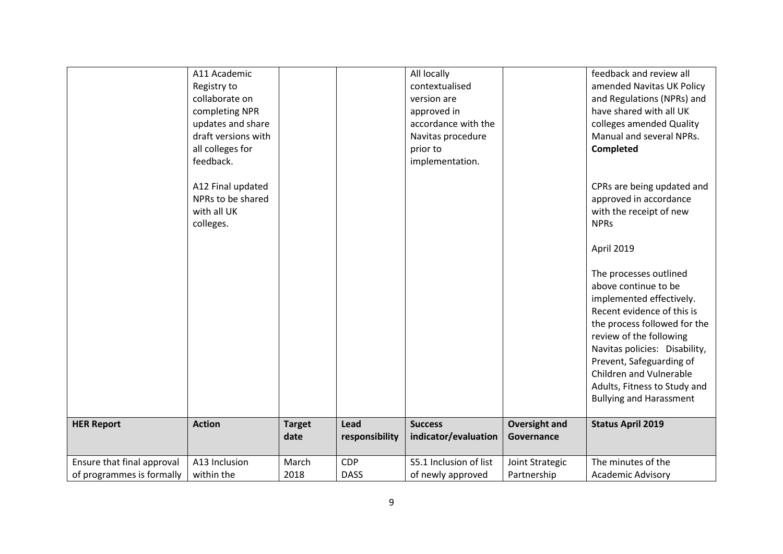|                            | A11 Academic<br>Registry to<br>collaborate on<br>completing NPR<br>updates and share<br>draft versions with<br>all colleges for<br>feedback.<br>A12 Final updated<br>NPRs to be shared<br>with all UK<br>colleges. |                       |                        | All locally<br>contextualised<br>version are<br>approved in<br>accordance with the<br>Navitas procedure<br>prior to<br>implementation. |                                    | feedback and review all<br>amended Navitas UK Policy<br>and Regulations (NPRs) and<br>have shared with all UK<br>colleges amended Quality<br>Manual and several NPRs.<br>Completed<br>CPRs are being updated and<br>approved in accordance<br>with the receipt of new<br><b>NPRs</b><br>April 2019<br>The processes outlined<br>above continue to be<br>implemented effectively.<br>Recent evidence of this is<br>the process followed for the<br>review of the following<br>Navitas policies: Disability,<br>Prevent, Safeguarding of<br>Children and Vulnerable<br>Adults, Fitness to Study and<br><b>Bullying and Harassment</b> |
|----------------------------|--------------------------------------------------------------------------------------------------------------------------------------------------------------------------------------------------------------------|-----------------------|------------------------|----------------------------------------------------------------------------------------------------------------------------------------|------------------------------------|-------------------------------------------------------------------------------------------------------------------------------------------------------------------------------------------------------------------------------------------------------------------------------------------------------------------------------------------------------------------------------------------------------------------------------------------------------------------------------------------------------------------------------------------------------------------------------------------------------------------------------------|
| <b>HER Report</b>          | <b>Action</b>                                                                                                                                                                                                      | <b>Target</b><br>date | Lead<br>responsibility | <b>Success</b><br>indicator/evaluation                                                                                                 | <b>Oversight and</b><br>Governance | <b>Status April 2019</b>                                                                                                                                                                                                                                                                                                                                                                                                                                                                                                                                                                                                            |
| Ensure that final approval | A13 Inclusion                                                                                                                                                                                                      | March                 | <b>CDP</b>             | S5.1 Inclusion of list                                                                                                                 | Joint Strategic                    | The minutes of the                                                                                                                                                                                                                                                                                                                                                                                                                                                                                                                                                                                                                  |
| of programmes is formally  | within the                                                                                                                                                                                                         | 2018                  | <b>DASS</b>            | of newly approved                                                                                                                      | Partnership                        | <b>Academic Advisory</b>                                                                                                                                                                                                                                                                                                                                                                                                                                                                                                                                                                                                            |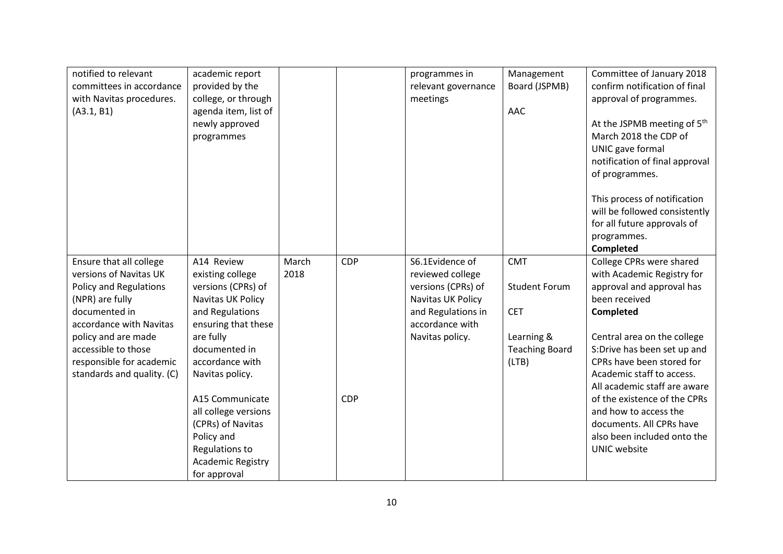| notified to relevant<br>committees in accordance<br>with Navitas procedures.<br>(A3.1, B1)                                                                                                                                                         | academic report<br>provided by the<br>college, or through<br>agenda item, list of<br>newly approved<br>programmes                                                                       |               |            | programmes in<br>relevant governance<br>meetings                                                                                           | Management<br>Board (JSPMB)<br>AAC                                                               | Committee of January 2018<br>confirm notification of final<br>approval of programmes.<br>At the JSPMB meeting of 5 <sup>th</sup><br>March 2018 the CDP of<br>UNIC gave formal                                                                                             |
|----------------------------------------------------------------------------------------------------------------------------------------------------------------------------------------------------------------------------------------------------|-----------------------------------------------------------------------------------------------------------------------------------------------------------------------------------------|---------------|------------|--------------------------------------------------------------------------------------------------------------------------------------------|--------------------------------------------------------------------------------------------------|---------------------------------------------------------------------------------------------------------------------------------------------------------------------------------------------------------------------------------------------------------------------------|
|                                                                                                                                                                                                                                                    |                                                                                                                                                                                         |               |            |                                                                                                                                            |                                                                                                  | notification of final approval<br>of programmes.<br>This process of notification<br>will be followed consistently<br>for all future approvals of<br>programmes.<br><b>Completed</b>                                                                                       |
| Ensure that all college<br>versions of Navitas UK<br>Policy and Regulations<br>(NPR) are fully<br>documented in<br>accordance with Navitas<br>policy and are made<br>accessible to those<br>responsible for academic<br>standards and quality. (C) | A14 Review<br>existing college<br>versions (CPRs) of<br>Navitas UK Policy<br>and Regulations<br>ensuring that these<br>are fully<br>documented in<br>accordance with<br>Navitas policy. | March<br>2018 | <b>CDP</b> | S6.1Evidence of<br>reviewed college<br>versions (CPRs) of<br>Navitas UK Policy<br>and Regulations in<br>accordance with<br>Navitas policy. | <b>CMT</b><br><b>Student Forum</b><br><b>CET</b><br>Learning &<br><b>Teaching Board</b><br>(LTB) | College CPRs were shared<br>with Academic Registry for<br>approval and approval has<br>been received<br>Completed<br>Central area on the college<br>S:Drive has been set up and<br>CPRs have been stored for<br>Academic staff to access.<br>All academic staff are aware |
|                                                                                                                                                                                                                                                    | A15 Communicate<br>all college versions<br>(CPRs) of Navitas<br>Policy and<br>Regulations to<br><b>Academic Registry</b><br>for approval                                                |               | <b>CDP</b> |                                                                                                                                            |                                                                                                  | of the existence of the CPRs<br>and how to access the<br>documents. All CPRs have<br>also been included onto the<br><b>UNIC</b> website                                                                                                                                   |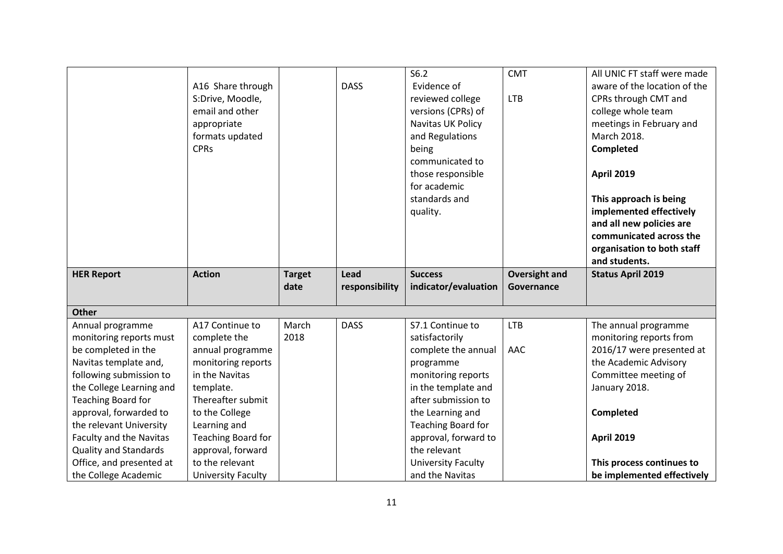|                                |                    |               |                | S6.2                 | <b>CMT</b>           | All UNIC FT staff were made  |
|--------------------------------|--------------------|---------------|----------------|----------------------|----------------------|------------------------------|
|                                | A16 Share through  |               | <b>DASS</b>    | Evidence of          |                      | aware of the location of the |
|                                | S:Drive, Moodle,   |               |                | reviewed college     | <b>LTB</b>           | CPRs through CMT and         |
|                                | email and other    |               |                | versions (CPRs) of   |                      | college whole team           |
|                                | appropriate        |               |                | Navitas UK Policy    |                      | meetings in February and     |
|                                | formats updated    |               |                | and Regulations      |                      | March 2018.                  |
|                                | <b>CPRs</b>        |               |                | being                |                      | Completed                    |
|                                |                    |               |                | communicated to      |                      |                              |
|                                |                    |               |                | those responsible    |                      | <b>April 2019</b>            |
|                                |                    |               |                | for academic         |                      |                              |
|                                |                    |               |                | standards and        |                      | This approach is being       |
|                                |                    |               |                | quality.             |                      | implemented effectively      |
|                                |                    |               |                |                      |                      | and all new policies are     |
|                                |                    |               |                |                      |                      | communicated across the      |
|                                |                    |               |                |                      |                      | organisation to both staff   |
|                                |                    |               |                |                      |                      | and students.                |
| <b>HER Report</b>              | <b>Action</b>      | <b>Target</b> | Lead           | <b>Success</b>       | <b>Oversight and</b> | <b>Status April 2019</b>     |
|                                |                    |               |                |                      |                      |                              |
|                                |                    | date          | responsibility | indicator/evaluation | Governance           |                              |
|                                |                    |               |                |                      |                      |                              |
| <b>Other</b>                   |                    |               |                |                      |                      |                              |
| Annual programme               | A17 Continue to    | March         | <b>DASS</b>    | S7.1 Continue to     | <b>LTB</b>           | The annual programme         |
| monitoring reports must        | complete the       | 2018          |                | satisfactorily       |                      | monitoring reports from      |
| be completed in the            | annual programme   |               |                | complete the annual  | <b>AAC</b>           | 2016/17 were presented at    |
| Navitas template and,          | monitoring reports |               |                | programme            |                      | the Academic Advisory        |
| following submission to        | in the Navitas     |               |                | monitoring reports   |                      | Committee meeting of         |
| the College Learning and       | template.          |               |                | in the template and  |                      | January 2018.                |
| Teaching Board for             | Thereafter submit  |               |                | after submission to  |                      |                              |
| approval, forwarded to         | to the College     |               |                | the Learning and     |                      | Completed                    |
| the relevant University        | Learning and       |               |                | Teaching Board for   |                      |                              |
| <b>Faculty and the Navitas</b> | Teaching Board for |               |                | approval, forward to |                      | <b>April 2019</b>            |
| <b>Quality and Standards</b>   | approval, forward  |               |                | the relevant         |                      |                              |
| Office, and presented at       | to the relevant    |               |                | University Faculty   |                      | This process continues to    |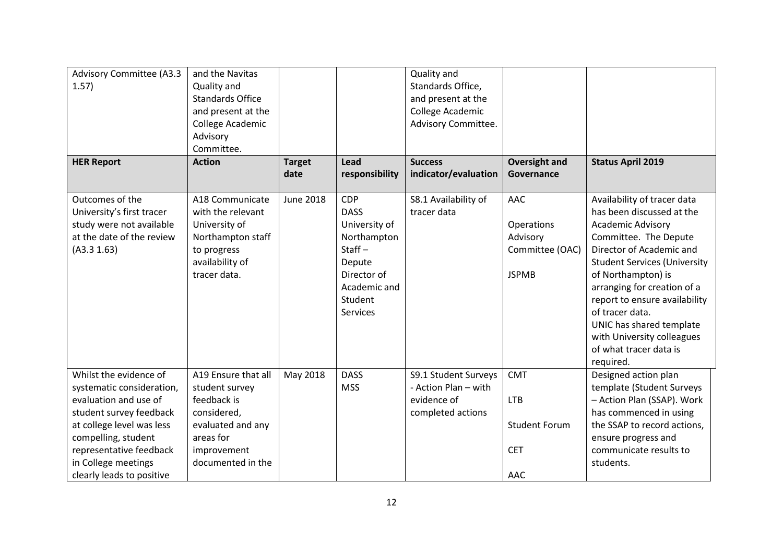| Advisory Committee (A3.3<br>1.57)                                                                                                                                                                                                          | and the Navitas<br>Quality and<br><b>Standards Office</b><br>and present at the<br>College Academic<br>Advisory<br>Committee.             |                       |                                                                                                                                               | Quality and<br>Standards Office,<br>and present at the<br>College Academic<br>Advisory Committee. |                                                                       |                                                                                                                                                                                                                                                                                                                                                                                            |
|--------------------------------------------------------------------------------------------------------------------------------------------------------------------------------------------------------------------------------------------|-------------------------------------------------------------------------------------------------------------------------------------------|-----------------------|-----------------------------------------------------------------------------------------------------------------------------------------------|---------------------------------------------------------------------------------------------------|-----------------------------------------------------------------------|--------------------------------------------------------------------------------------------------------------------------------------------------------------------------------------------------------------------------------------------------------------------------------------------------------------------------------------------------------------------------------------------|
| <b>HER Report</b>                                                                                                                                                                                                                          | <b>Action</b>                                                                                                                             | <b>Target</b><br>date | Lead<br>responsibility                                                                                                                        | <b>Success</b><br>indicator/evaluation                                                            | <b>Oversight and</b><br>Governance                                    | <b>Status April 2019</b>                                                                                                                                                                                                                                                                                                                                                                   |
| Outcomes of the<br>University's first tracer<br>study were not available<br>at the date of the review<br>(A3.3 1.63)                                                                                                                       | A18 Communicate<br>with the relevant<br>University of<br>Northampton staff<br>to progress<br>availability of<br>tracer data.              | <b>June 2018</b>      | <b>CDP</b><br><b>DASS</b><br>University of<br>Northampton<br>Staff $-$<br>Depute<br>Director of<br>Academic and<br>Student<br><b>Services</b> | S8.1 Availability of<br>tracer data                                                               | AAC<br>Operations<br>Advisory<br>Committee (OAC)<br><b>JSPMB</b>      | Availability of tracer data<br>has been discussed at the<br><b>Academic Advisory</b><br>Committee. The Depute<br>Director of Academic and<br><b>Student Services (University</b><br>of Northampton) is<br>arranging for creation of a<br>report to ensure availability<br>of tracer data.<br>UNIC has shared template<br>with University colleagues<br>of what tracer data is<br>required. |
| Whilst the evidence of<br>systematic consideration,<br>evaluation and use of<br>student survey feedback<br>at college level was less<br>compelling, student<br>representative feedback<br>in College meetings<br>clearly leads to positive | A19 Ensure that all<br>student survey<br>feedback is<br>considered,<br>evaluated and any<br>areas for<br>improvement<br>documented in the | May 2018              | <b>DASS</b><br><b>MSS</b>                                                                                                                     | S9.1 Student Surveys<br>- Action Plan - with<br>evidence of<br>completed actions                  | <b>CMT</b><br><b>LTB</b><br><b>Student Forum</b><br><b>CET</b><br>AAC | Designed action plan<br>template (Student Surveys<br>- Action Plan (SSAP). Work<br>has commenced in using<br>the SSAP to record actions,<br>ensure progress and<br>communicate results to<br>students.                                                                                                                                                                                     |